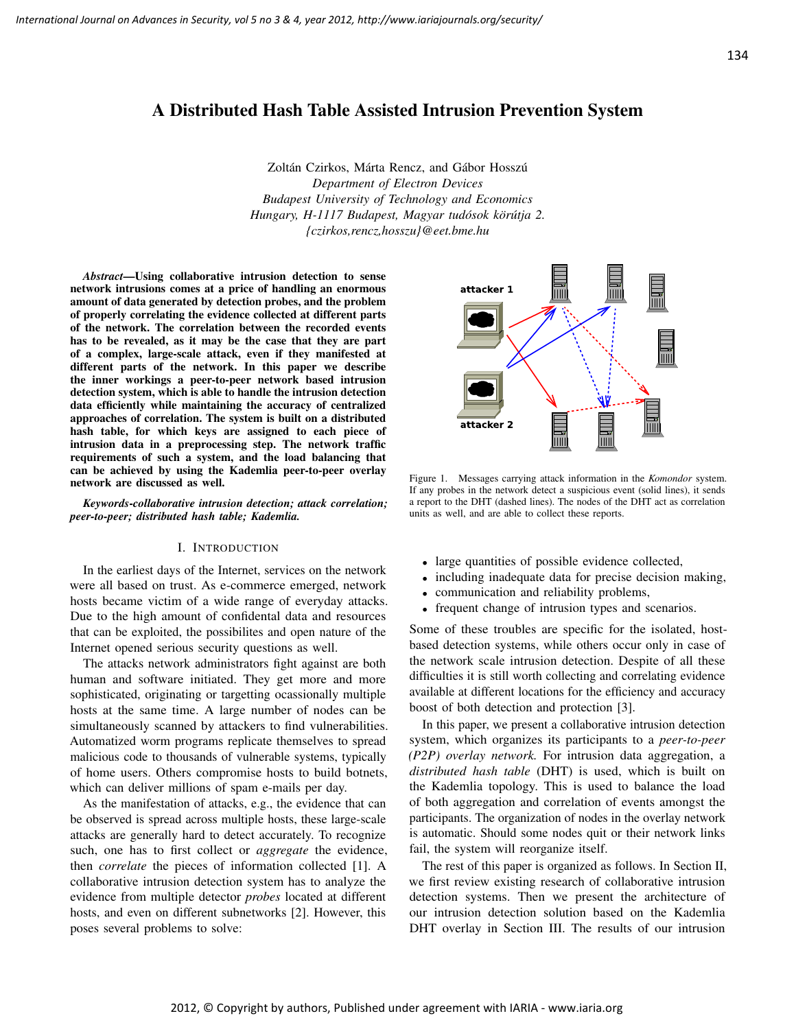# A Distributed Hash Table Assisted Intrusion Prevention System

Zoltán Czirkos, Márta Rencz, and Gábor Hosszú *Department of Electron Devices Budapest University of Technology and Economics Hungary, H-1117 Budapest, Magyar tudósok körútja 2. {czirkos,rencz,hosszu}@eet.bme.hu*

*Abstract*—Using collaborative intrusion detection to sense network intrusions comes at a price of handling an enormous amount of data generated by detection probes, and the problem of properly correlating the evidence collected at different parts of the network. The correlation between the recorded events has to be revealed, as it may be the case that they are part of a complex, large-scale attack, even if they manifested at different parts of the network. In this paper we describe the inner workings a peer-to-peer network based intrusion detection system, which is able to handle the intrusion detection data efficiently while maintaining the accuracy of centralized approaches of correlation. The system is built on a distributed hash table, for which keys are assigned to each piece of intrusion data in a preprocessing step. The network traffic requirements of such a system, and the load balancing that can be achieved by using the Kademlia peer-to-peer overlay network are discussed as well.

*Keywords*-*collaborative intrusion detection; attack correlation; peer-to-peer; distributed hash table; Kademlia.*

#### I. INTRODUCTION

In the earliest days of the Internet, services on the network were all based on trust. As e-commerce emerged, network hosts became victim of a wide range of everyday attacks. Due to the high amount of confidental data and resources that can be exploited, the possibilites and open nature of the Internet opened serious security questions as well.

The attacks network administrators fight against are both human and software initiated. They get more and more sophisticated, originating or targetting ocassionally multiple hosts at the same time. A large number of nodes can be simultaneously scanned by attackers to find vulnerabilities. Automatized worm programs replicate themselves to spread malicious code to thousands of vulnerable systems, typically of home users. Others compromise hosts to build botnets, which can deliver millions of spam e-mails per day.

As the manifestation of attacks, e.g., the evidence that can be observed is spread across multiple hosts, these large-scale attacks are generally hard to detect accurately. To recognize such, one has to first collect or *aggregate* the evidence, then *correlate* the pieces of information collected [1]. A collaborative intrusion detection system has to analyze the evidence from multiple detector *probes* located at different hosts, and even on different subnetworks [2]. However, this poses several problems to solve:



Figure 1. Messages carrying attack information in the *Komondor* system. If any probes in the network detect a suspicious event (solid lines), it sends a report to the DHT (dashed lines). The nodes of the DHT act as correlation units as well, and are able to collect these reports.

- large quantities of possible evidence collected,
- including inadequate data for precise decision making,
- communication and reliability problems,
- frequent change of intrusion types and scenarios.

Some of these troubles are specific for the isolated, hostbased detection systems, while others occur only in case of the network scale intrusion detection. Despite of all these difficulties it is still worth collecting and correlating evidence available at different locations for the efficiency and accuracy boost of both detection and protection [3].

In this paper, we present a collaborative intrusion detection system, which organizes its participants to a *peer-to-peer (P2P) overlay network.* For intrusion data aggregation, a *distributed hash table* (DHT) is used, which is built on the Kademlia topology. This is used to balance the load of both aggregation and correlation of events amongst the participants. The organization of nodes in the overlay network is automatic. Should some nodes quit or their network links fail, the system will reorganize itself.

The rest of this paper is organized as follows. In Section II, we first review existing research of collaborative intrusion detection systems. Then we present the architecture of our intrusion detection solution based on the Kademlia DHT overlay in Section III. The results of our intrusion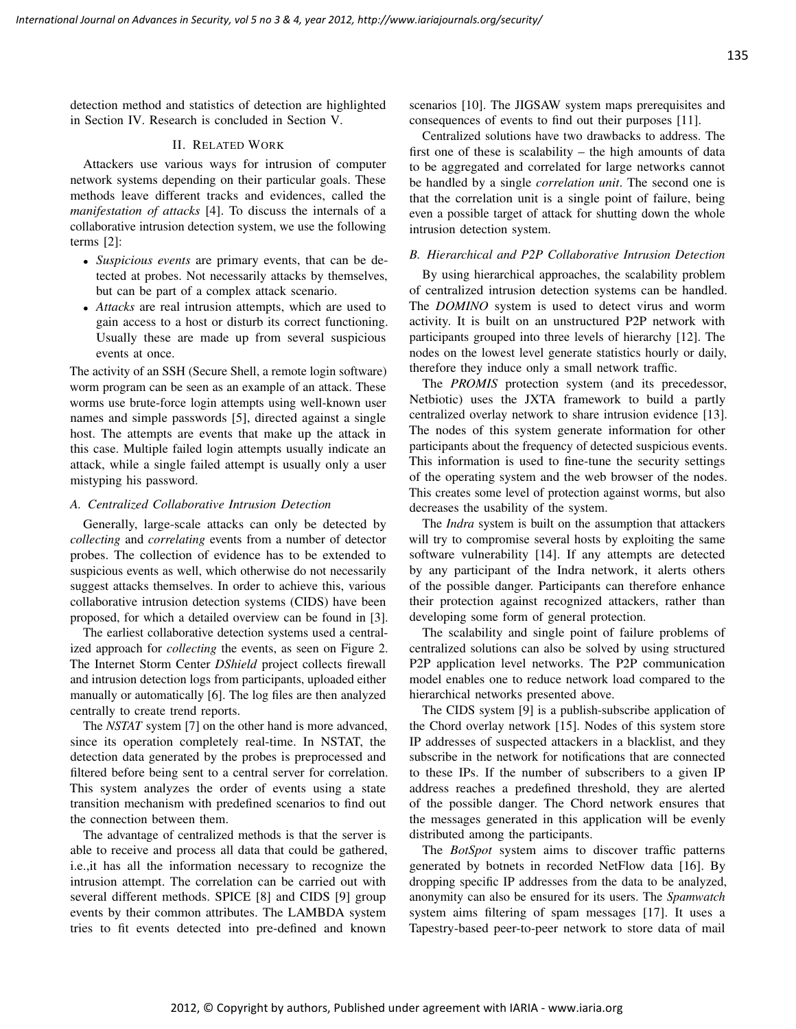detection method and statistics of detection are highlighted in Section IV. Research is concluded in Section V.

## II. RELATED WORK

Attackers use various ways for intrusion of computer network systems depending on their particular goals. These methods leave different tracks and evidences, called the *manifestation of attacks* [4]. To discuss the internals of a collaborative intrusion detection system, we use the following terms [2]:

- *Suspicious events* are primary events, that can be detected at probes. Not necessarily attacks by themselves, but can be part of a complex attack scenario.
- *Attacks* are real intrusion attempts, which are used to gain access to a host or disturb its correct functioning. Usually these are made up from several suspicious events at once.

The activity of an SSH (Secure Shell, a remote login software) worm program can be seen as an example of an attack. These worms use brute-force login attempts using well-known user names and simple passwords [5], directed against a single host. The attempts are events that make up the attack in this case. Multiple failed login attempts usually indicate an attack, while a single failed attempt is usually only a user mistyping his password.

## *A. Centralized Collaborative Intrusion Detection*

Generally, large-scale attacks can only be detected by *collecting* and *correlating* events from a number of detector probes. The collection of evidence has to be extended to suspicious events as well, which otherwise do not necessarily suggest attacks themselves. In order to achieve this, various collaborative intrusion detection systems (CIDS) have been proposed, for which a detailed overview can be found in [3].

The earliest collaborative detection systems used a centralized approach for *collecting* the events, as seen on Figure 2. The Internet Storm Center *DShield* project collects firewall and intrusion detection logs from participants, uploaded either manually or automatically [6]. The log files are then analyzed centrally to create trend reports.

The *NSTAT* system [7] on the other hand is more advanced, since its operation completely real-time. In NSTAT, the detection data generated by the probes is preprocessed and filtered before being sent to a central server for correlation. This system analyzes the order of events using a state transition mechanism with predefined scenarios to find out the connection between them.

The advantage of centralized methods is that the server is able to receive and process all data that could be gathered, i.e.,it has all the information necessary to recognize the intrusion attempt. The correlation can be carried out with several different methods. SPICE [8] and CIDS [9] group events by their common attributes. The LAMBDA system tries to fit events detected into pre-defined and known scenarios [10]. The JIGSAW system maps prerequisites and consequences of events to find out their purposes [11].

Centralized solutions have two drawbacks to address. The first one of these is scalability – the high amounts of data to be aggregated and correlated for large networks cannot be handled by a single *correlation unit*. The second one is that the correlation unit is a single point of failure, being even a possible target of attack for shutting down the whole intrusion detection system.

## *B. Hierarchical and P2P Collaborative Intrusion Detection*

By using hierarchical approaches, the scalability problem of centralized intrusion detection systems can be handled. The *DOMINO* system is used to detect virus and worm activity. It is built on an unstructured P2P network with participants grouped into three levels of hierarchy [12]. The nodes on the lowest level generate statistics hourly or daily, therefore they induce only a small network traffic.

The *PROMIS* protection system (and its precedessor, Netbiotic) uses the JXTA framework to build a partly centralized overlay network to share intrusion evidence [13]. The nodes of this system generate information for other participants about the frequency of detected suspicious events. This information is used to fine-tune the security settings of the operating system and the web browser of the nodes. This creates some level of protection against worms, but also decreases the usability of the system.

The *Indra* system is built on the assumption that attackers will try to compromise several hosts by exploiting the same software vulnerability [14]. If any attempts are detected by any participant of the Indra network, it alerts others of the possible danger. Participants can therefore enhance their protection against recognized attackers, rather than developing some form of general protection.

The scalability and single point of failure problems of centralized solutions can also be solved by using structured P2P application level networks. The P2P communication model enables one to reduce network load compared to the hierarchical networks presented above.

The CIDS system [9] is a publish-subscribe application of the Chord overlay network [15]. Nodes of this system store IP addresses of suspected attackers in a blacklist, and they subscribe in the network for notifications that are connected to these IPs. If the number of subscribers to a given IP address reaches a predefined threshold, they are alerted of the possible danger. The Chord network ensures that the messages generated in this application will be evenly distributed among the participants.

The *BotSpot* system aims to discover traffic patterns generated by botnets in recorded NetFlow data [16]. By dropping specific IP addresses from the data to be analyzed, anonymity can also be ensured for its users. The *Spamwatch* system aims filtering of spam messages [17]. It uses a Tapestry-based peer-to-peer network to store data of mail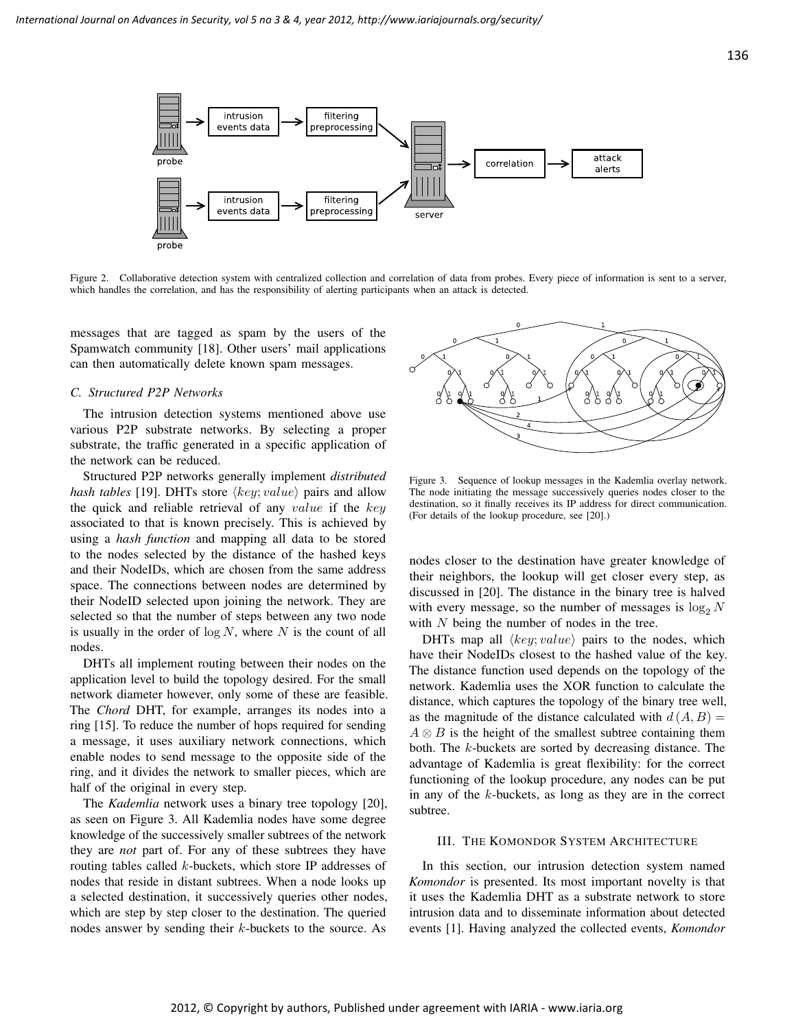

Figure 2. Collaborative detection system with centralized collection and correlation of data from probes. Every piece of information is sent to a server, which handles the correlation, and has the responsibility of alerting participants when an attack is detected.

messages that are tagged as spam by the users of the Spamwatch community [18]. Other users' mail applications can then automatically delete known spam messages.

# *C. Structured P2P Networks*

The intrusion detection systems mentioned above use various P2P substrate networks. By selecting a proper substrate, the traffic generated in a specific application of the network can be reduced.

Structured P2P networks generally implement *distributed hash tables* [19]. DHTs store  $\langle key; value \rangle$  pairs and allow the quick and reliable retrieval of any value if the  $key$ associated to that is known precisely. This is achieved by using a *hash function* and mapping all data to be stored to the nodes selected by the distance of the hashed keys and their NodeIDs, which are chosen from the same address space. The connections between nodes are determined by their NodeID selected upon joining the network. They are selected so that the number of steps between any two node is usually in the order of  $\log N$ , where N is the count of all nodes.

DHTs all implement routing between their nodes on the application level to build the topology desired. For the small network diameter however, only some of these are feasible. The *Chord* DHT, for example, arranges its nodes into a ring [15]. To reduce the number of hops required for sending a message, it uses auxiliary network connections, which enable nodes to send message to the opposite side of the ring, and it divides the network to smaller pieces, which are half of the original in every step.

The *Kademlia* network uses a binary tree topology [20], as seen on Figure 3. All Kademlia nodes have some degree knowledge of the successively smaller subtrees of the network they are *not* part of. For any of these subtrees they have routing tables called k-buckets, which store IP addresses of nodes that reside in distant subtrees. When a node looks up a selected destination, it successively queries other nodes, which are step by step closer to the destination. The queried nodes answer by sending their k-buckets to the source. As



Figure 3. Sequence of lookup messages in the Kademlia overlay network. The node initiating the message successively queries nodes closer to the destination, so it finally receives its IP address for direct communication. (For details of the lookup procedure, see [20].)

nodes closer to the destination have greater knowledge of their neighbors, the lookup will get closer every step, as discussed in [20]. The distance in the binary tree is halved with every message, so the number of messages is  $\log_2 N$ with  $N$  being the number of nodes in the tree.

DHTs map all  $\langle key; value \rangle$  pairs to the nodes, which have their NodeIDs closest to the hashed value of the key. The distance function used depends on the topology of the network. Kademlia uses the XOR function to calculate the distance, which captures the topology of the binary tree well, as the magnitude of the distance calculated with  $d(A, B) =$  $A \otimes B$  is the height of the smallest subtree containing them both. The k-buckets are sorted by decreasing distance. The advantage of Kademlia is great flexibility: for the correct functioning of the lookup procedure, any nodes can be put in any of the k-buckets, as long as they are in the correct subtree.

## III. THE KOMONDOR SYSTEM ARCHITECTURE

In this section, our intrusion detection system named *Komondor* is presented. Its most important novelty is that it uses the Kademlia DHT as a substrate network to store intrusion data and to disseminate information about detected events [1]. Having analyzed the collected events, *Komondor*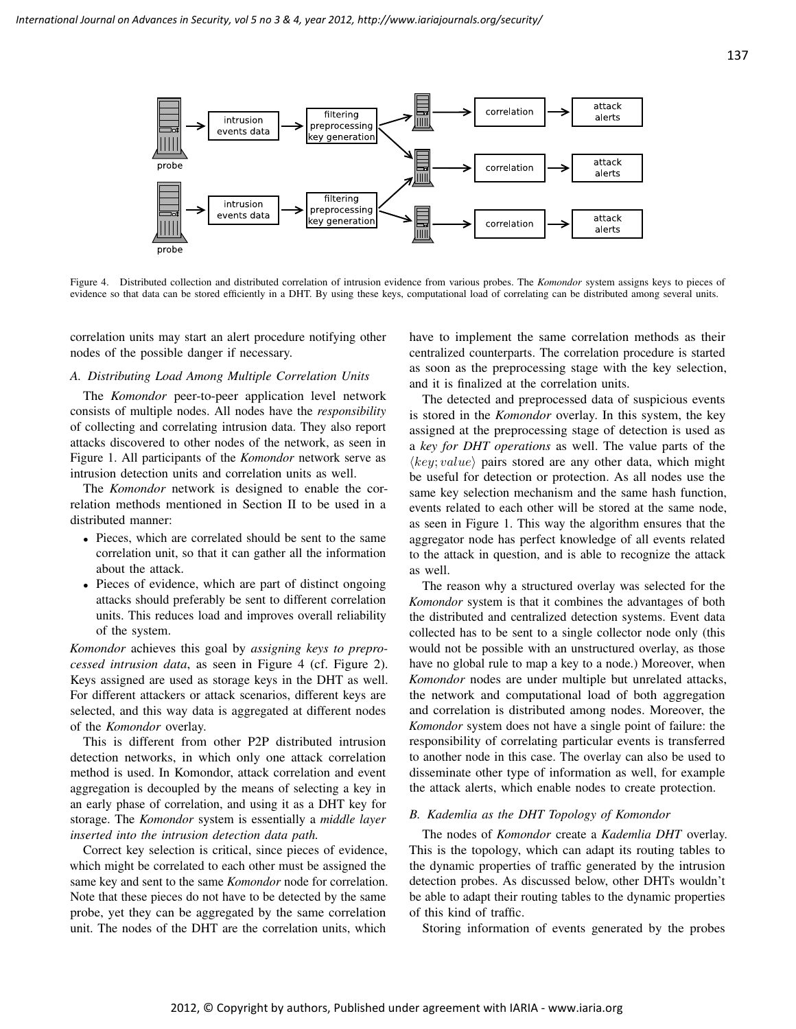

Figure 4. Distributed collection and distributed correlation of intrusion evidence from various probes. The *Komondor* system assigns keys to pieces of evidence so that data can be stored efficiently in a DHT. By using these keys, computational load of correlating can be distributed among several units.

correlation units may start an alert procedure notifying other nodes of the possible danger if necessary.

#### *A. Distributing Load Among Multiple Correlation Units*

The *Komondor* peer-to-peer application level network consists of multiple nodes. All nodes have the *responsibility* of collecting and correlating intrusion data. They also report attacks discovered to other nodes of the network, as seen in Figure 1. All participants of the *Komondor* network serve as intrusion detection units and correlation units as well.

The *Komondor* network is designed to enable the correlation methods mentioned in Section II to be used in a distributed manner:

- Pieces, which are correlated should be sent to the same correlation unit, so that it can gather all the information about the attack.
- Pieces of evidence, which are part of distinct ongoing attacks should preferably be sent to different correlation units. This reduces load and improves overall reliability of the system.

*Komondor* achieves this goal by *assigning keys to preprocessed intrusion data*, as seen in Figure 4 (cf. Figure 2). Keys assigned are used as storage keys in the DHT as well. For different attackers or attack scenarios, different keys are selected, and this way data is aggregated at different nodes of the *Komondor* overlay.

This is different from other P2P distributed intrusion detection networks, in which only one attack correlation method is used. In Komondor, attack correlation and event aggregation is decoupled by the means of selecting a key in an early phase of correlation, and using it as a DHT key for storage. The *Komondor* system is essentially a *middle layer inserted into the intrusion detection data path.*

Correct key selection is critical, since pieces of evidence, which might be correlated to each other must be assigned the same key and sent to the same *Komondor* node for correlation. Note that these pieces do not have to be detected by the same probe, yet they can be aggregated by the same correlation unit. The nodes of the DHT are the correlation units, which

have to implement the same correlation methods as their centralized counterparts. The correlation procedure is started as soon as the preprocessing stage with the key selection, and it is finalized at the correlation units.

The detected and preprocessed data of suspicious events is stored in the *Komondor* overlay. In this system, the key assigned at the preprocessing stage of detection is used as a *key for DHT operations* as well. The value parts of the  $\langle key; value \rangle$  pairs stored are any other data, which might be useful for detection or protection. As all nodes use the same key selection mechanism and the same hash function, events related to each other will be stored at the same node, as seen in Figure 1. This way the algorithm ensures that the aggregator node has perfect knowledge of all events related to the attack in question, and is able to recognize the attack as well.

The reason why a structured overlay was selected for the *Komondor* system is that it combines the advantages of both the distributed and centralized detection systems. Event data collected has to be sent to a single collector node only (this would not be possible with an unstructured overlay, as those have no global rule to map a key to a node.) Moreover, when *Komondor* nodes are under multiple but unrelated attacks, the network and computational load of both aggregation and correlation is distributed among nodes. Moreover, the *Komondor* system does not have a single point of failure: the responsibility of correlating particular events is transferred to another node in this case. The overlay can also be used to disseminate other type of information as well, for example the attack alerts, which enable nodes to create protection.

## *B. Kademlia as the DHT Topology of Komondor*

The nodes of *Komondor* create a *Kademlia DHT* overlay. This is the topology, which can adapt its routing tables to the dynamic properties of traffic generated by the intrusion detection probes. As discussed below, other DHTs wouldn't be able to adapt their routing tables to the dynamic properties of this kind of traffic.

Storing information of events generated by the probes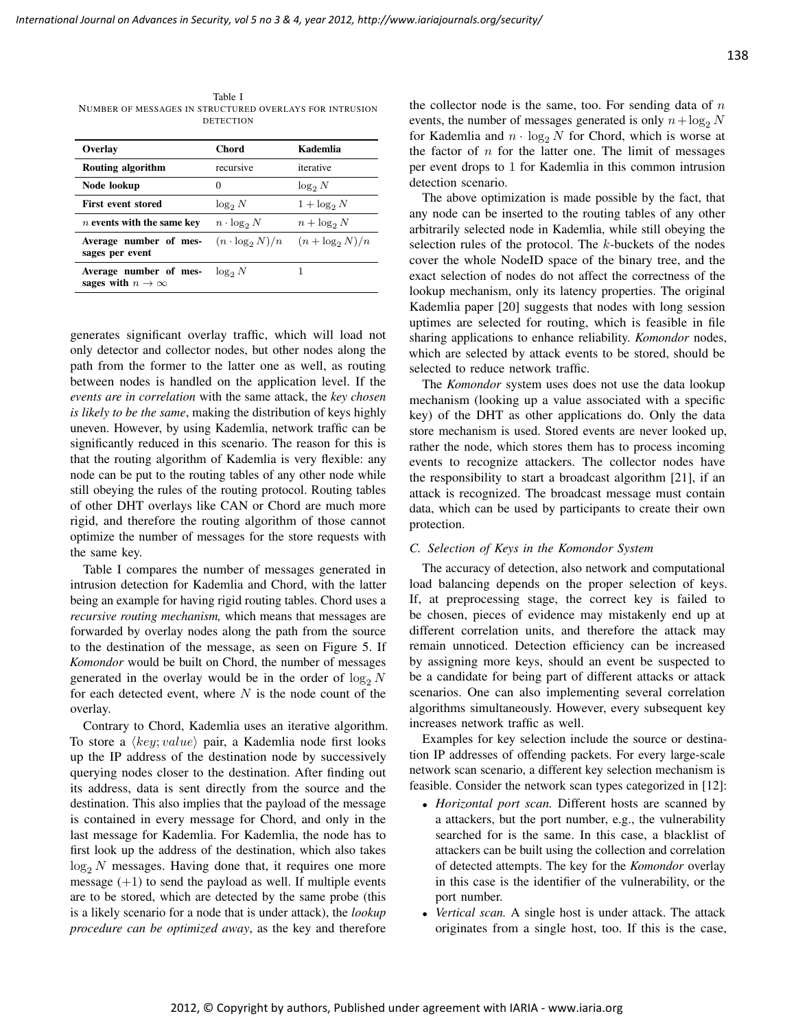Table I NUMBER OF MESSAGES IN STRUCTURED OVERLAYS FOR INTRUSION DETECTION

| Overlay                                             | Chord                  | Kademlia           |  |
|-----------------------------------------------------|------------------------|--------------------|--|
| Routing algorithm                                   | recursive              | iterative          |  |
| Node lookup                                         | 0                      | $\log_2 N$         |  |
| <b>First event stored</b>                           | $\log_2 N$             | $1 + \log_2 N$     |  |
| n events with the same key                          | $n \cdot \log_2 N$     | $n + \log_2 N$     |  |
| Average number of mes-<br>sages per event           | $(n \cdot \log_2 N)/n$ | $(n + \log_2 N)/n$ |  |
| Average number of mes-<br>sages with $n \to \infty$ | $\log_2 N$             |                    |  |

generates significant overlay traffic, which will load not only detector and collector nodes, but other nodes along the path from the former to the latter one as well, as routing between nodes is handled on the application level. If the *events are in correlation* with the same attack, the *key chosen is likely to be the same*, making the distribution of keys highly uneven. However, by using Kademlia, network traffic can be significantly reduced in this scenario. The reason for this is that the routing algorithm of Kademlia is very flexible: any node can be put to the routing tables of any other node while still obeying the rules of the routing protocol. Routing tables of other DHT overlays like CAN or Chord are much more rigid, and therefore the routing algorithm of those cannot optimize the number of messages for the store requests with the same key.

Table I compares the number of messages generated in intrusion detection for Kademlia and Chord, with the latter being an example for having rigid routing tables. Chord uses a *recursive routing mechanism,* which means that messages are forwarded by overlay nodes along the path from the source to the destination of the message, as seen on Figure 5. If *Komondor* would be built on Chord, the number of messages generated in the overlay would be in the order of  $\log_2 N$ for each detected event, where  $N$  is the node count of the overlay.

Contrary to Chord, Kademlia uses an iterative algorithm. To store a  $\langle key; value \rangle$  pair, a Kademlia node first looks up the IP address of the destination node by successively querying nodes closer to the destination. After finding out its address, data is sent directly from the source and the destination. This also implies that the payload of the message is contained in every message for Chord, and only in the last message for Kademlia. For Kademlia, the node has to first look up the address of the destination, which also takes  $log_2 N$  messages. Having done that, it requires one more message  $(+1)$  to send the payload as well. If multiple events are to be stored, which are detected by the same probe (this is a likely scenario for a node that is under attack), the *lookup procedure can be optimized away*, as the key and therefore the collector node is the same, too. For sending data of  $n$ events, the number of messages generated is only  $n + \log_2 N$ for Kademlia and  $n \cdot \log_2 N$  for Chord, which is worse at the factor of  $n$  for the latter one. The limit of messages per event drops to 1 for Kademlia in this common intrusion detection scenario.

The above optimization is made possible by the fact, that any node can be inserted to the routing tables of any other arbitrarily selected node in Kademlia, while still obeying the selection rules of the protocol. The k-buckets of the nodes cover the whole NodeID space of the binary tree, and the exact selection of nodes do not affect the correctness of the lookup mechanism, only its latency properties. The original Kademlia paper [20] suggests that nodes with long session uptimes are selected for routing, which is feasible in file sharing applications to enhance reliability. *Komondor* nodes, which are selected by attack events to be stored, should be selected to reduce network traffic.

The *Komondor* system uses does not use the data lookup mechanism (looking up a value associated with a specific key) of the DHT as other applications do. Only the data store mechanism is used. Stored events are never looked up, rather the node, which stores them has to process incoming events to recognize attackers. The collector nodes have the responsibility to start a broadcast algorithm [21], if an attack is recognized. The broadcast message must contain data, which can be used by participants to create their own protection.

## *C. Selection of Keys in the Komondor System*

The accuracy of detection, also network and computational load balancing depends on the proper selection of keys. If, at preprocessing stage, the correct key is failed to be chosen, pieces of evidence may mistakenly end up at different correlation units, and therefore the attack may remain unnoticed. Detection efficiency can be increased by assigning more keys, should an event be suspected to be a candidate for being part of different attacks or attack scenarios. One can also implementing several correlation algorithms simultaneously. However, every subsequent key increases network traffic as well.

Examples for key selection include the source or destination IP addresses of offending packets. For every large-scale network scan scenario, a different key selection mechanism is feasible. Consider the network scan types categorized in [12]:

- *Horizontal port scan.* Different hosts are scanned by a attackers, but the port number, e.g., the vulnerability searched for is the same. In this case, a blacklist of attackers can be built using the collection and correlation of detected attempts. The key for the *Komondor* overlay in this case is the identifier of the vulnerability, or the port number.
- *Vertical scan.* A single host is under attack. The attack originates from a single host, too. If this is the case,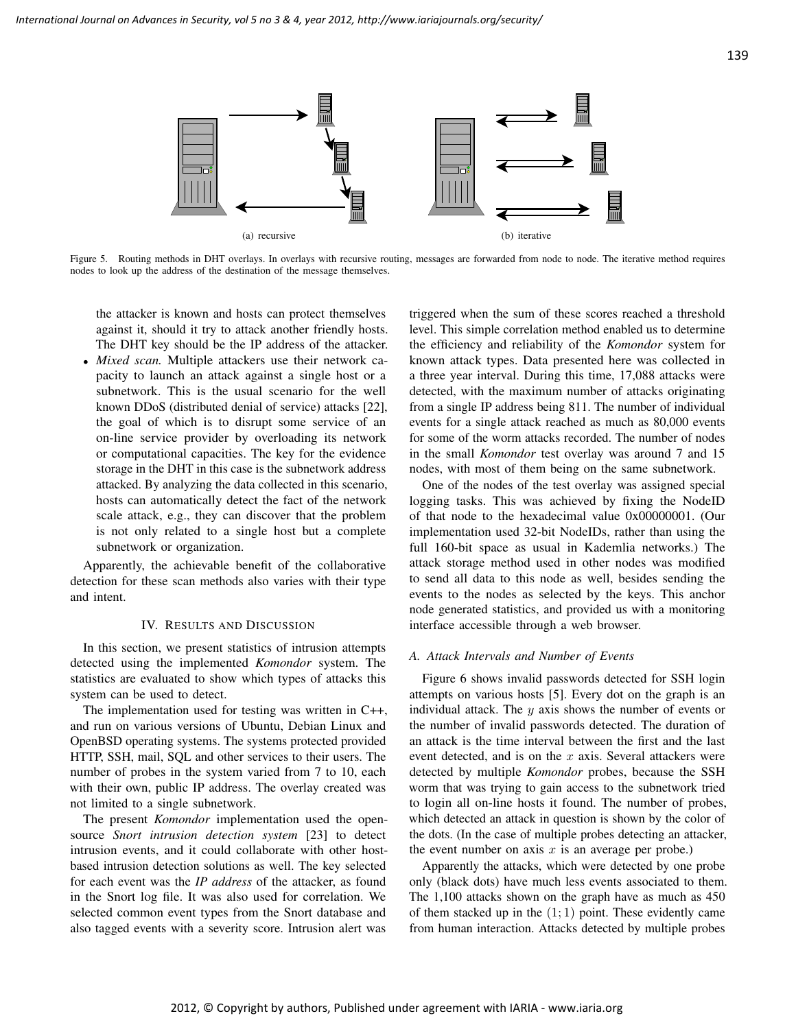

Figure 5. Routing methods in DHT overlays. In overlays with recursive routing, messages are forwarded from node to node. The iterative method requires nodes to look up the address of the destination of the message themselves.

the attacker is known and hosts can protect themselves against it, should it try to attack another friendly hosts. The DHT key should be the IP address of the attacker.

• *Mixed scan.* Multiple attackers use their network capacity to launch an attack against a single host or a subnetwork. This is the usual scenario for the well known DDoS (distributed denial of service) attacks [22], the goal of which is to disrupt some service of an on-line service provider by overloading its network or computational capacities. The key for the evidence storage in the DHT in this case is the subnetwork address attacked. By analyzing the data collected in this scenario, hosts can automatically detect the fact of the network scale attack, e.g., they can discover that the problem is not only related to a single host but a complete subnetwork or organization.

Apparently, the achievable benefit of the collaborative detection for these scan methods also varies with their type and intent.

## IV. RESULTS AND DISCUSSION

In this section, we present statistics of intrusion attempts detected using the implemented *Komondor* system. The statistics are evaluated to show which types of attacks this system can be used to detect.

The implementation used for testing was written in C++, and run on various versions of Ubuntu, Debian Linux and OpenBSD operating systems. The systems protected provided HTTP, SSH, mail, SQL and other services to their users. The number of probes in the system varied from 7 to 10, each with their own, public IP address. The overlay created was not limited to a single subnetwork.

The present *Komondor* implementation used the opensource *Snort intrusion detection system* [23] to detect intrusion events, and it could collaborate with other hostbased intrusion detection solutions as well. The key selected for each event was the *IP address* of the attacker, as found in the Snort log file. It was also used for correlation. We selected common event types from the Snort database and also tagged events with a severity score. Intrusion alert was

triggered when the sum of these scores reached a threshold level. This simple correlation method enabled us to determine the efficiency and reliability of the *Komondor* system for known attack types. Data presented here was collected in a three year interval. During this time, 17,088 attacks were detected, with the maximum number of attacks originating from a single IP address being 811. The number of individual events for a single attack reached as much as 80,000 events for some of the worm attacks recorded. The number of nodes in the small *Komondor* test overlay was around 7 and 15 nodes, with most of them being on the same subnetwork.

One of the nodes of the test overlay was assigned special logging tasks. This was achieved by fixing the NodeID of that node to the hexadecimal value 0x00000001. (Our implementation used 32-bit NodeIDs, rather than using the full 160-bit space as usual in Kademlia networks.) The attack storage method used in other nodes was modified to send all data to this node as well, besides sending the events to the nodes as selected by the keys. This anchor node generated statistics, and provided us with a monitoring interface accessible through a web browser.

#### *A. Attack Intervals and Number of Events*

Figure 6 shows invalid passwords detected for SSH login attempts on various hosts [5]. Every dot on the graph is an individual attack. The  $y$  axis shows the number of events or the number of invalid passwords detected. The duration of an attack is the time interval between the first and the last event detected, and is on the  $x$  axis. Several attackers were detected by multiple *Komondor* probes, because the SSH worm that was trying to gain access to the subnetwork tried to login all on-line hosts it found. The number of probes, which detected an attack in question is shown by the color of the dots. (In the case of multiple probes detecting an attacker, the event number on axis  $x$  is an average per probe.)

Apparently the attacks, which were detected by one probe only (black dots) have much less events associated to them. The 1,100 attacks shown on the graph have as much as 450 of them stacked up in the  $(1, 1)$  point. These evidently came from human interaction. Attacks detected by multiple probes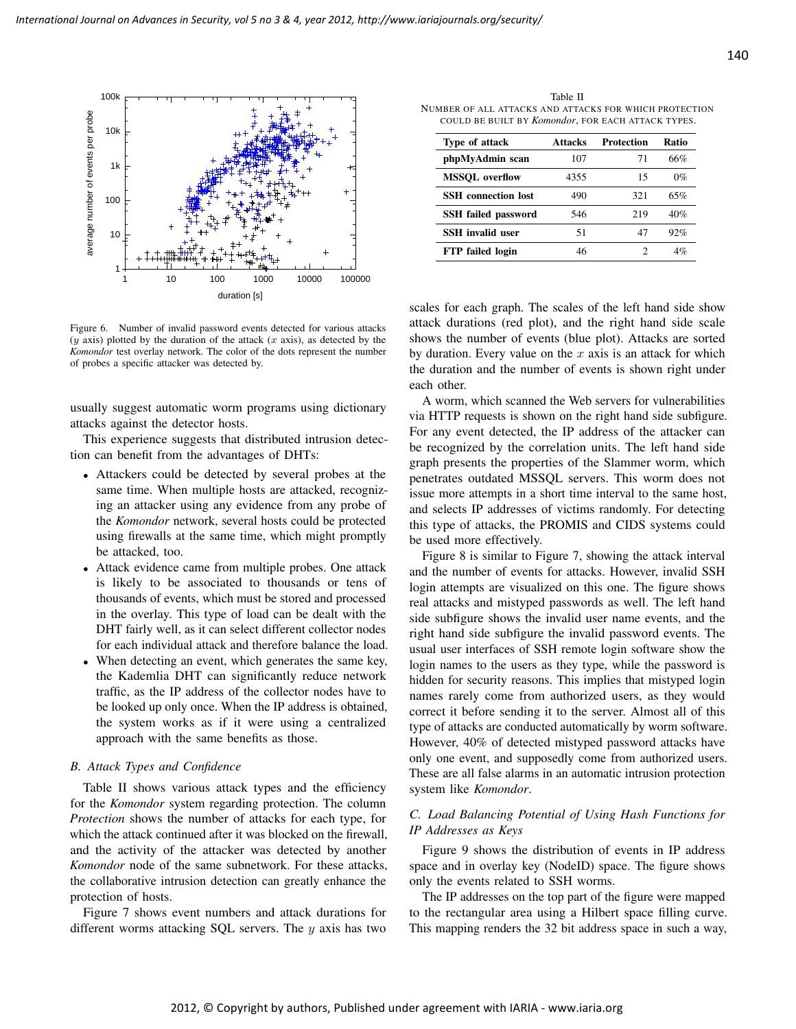

Figure 6. Number of invalid password events detected for various attacks  $(y$  axis) plotted by the duration of the attack  $(x$  axis), as detected by the *Komondor* test overlay network. The color of the dots represent the number of probes a specific attacker was detected by.

usually suggest automatic worm programs using dictionary attacks against the detector hosts.

This experience suggests that distributed intrusion detection can benefit from the advantages of DHTs:

- Attackers could be detected by several probes at the same time. When multiple hosts are attacked, recognizing an attacker using any evidence from any probe of the *Komondor* network, several hosts could be protected using firewalls at the same time, which might promptly be attacked, too.
- Attack evidence came from multiple probes. One attack is likely to be associated to thousands or tens of thousands of events, which must be stored and processed in the overlay. This type of load can be dealt with the DHT fairly well, as it can select different collector nodes for each individual attack and therefore balance the load.
- When detecting an event, which generates the same key, the Kademlia DHT can significantly reduce network traffic, as the IP address of the collector nodes have to be looked up only once. When the IP address is obtained, the system works as if it were using a centralized approach with the same benefits as those.

#### *B. Attack Types and Confidence*

Table II shows various attack types and the efficiency for the *Komondor* system regarding protection. The column *Protection* shows the number of attacks for each type, for which the attack continued after it was blocked on the firewall, and the activity of the attacker was detected by another *Komondor* node of the same subnetwork. For these attacks, the collaborative intrusion detection can greatly enhance the protection of hosts.

Figure 7 shows event numbers and attack durations for different worms attacking SQL servers. The  $y$  axis has two

Table II NUMBER OF ALL ATTACKS AND ATTACKS FOR WHICH PROTECTION COULD BE BUILT BY *Komondor*, FOR EACH ATTACK TYPES.

| Type of attack             | <b>Attacks</b> | Protection | Ratio |
|----------------------------|----------------|------------|-------|
| phpMyAdmin scan            | 107            | 71         | 66%   |
| <b>MSSOL</b> overflow      | 4355           | 15         | $0\%$ |
| <b>SSH</b> connection lost | 490            | 321        | 65%   |
| <b>SSH</b> failed password | 546            | 219        | 40%   |
| <b>SSH</b> invalid user    | 51             | 47         | 92%   |
| <b>FTP</b> failed login    | 46             | 2          | 4%    |

scales for each graph. The scales of the left hand side show attack durations (red plot), and the right hand side scale shows the number of events (blue plot). Attacks are sorted by duration. Every value on the  $x$  axis is an attack for which the duration and the number of events is shown right under each other.

A worm, which scanned the Web servers for vulnerabilities via HTTP requests is shown on the right hand side subfigure. For any event detected, the IP address of the attacker can be recognized by the correlation units. The left hand side graph presents the properties of the Slammer worm, which penetrates outdated MSSQL servers. This worm does not issue more attempts in a short time interval to the same host, and selects IP addresses of victims randomly. For detecting this type of attacks, the PROMIS and CIDS systems could be used more effectively.

Figure 8 is similar to Figure 7, showing the attack interval and the number of events for attacks. However, invalid SSH login attempts are visualized on this one. The figure shows real attacks and mistyped passwords as well. The left hand side subfigure shows the invalid user name events, and the right hand side subfigure the invalid password events. The usual user interfaces of SSH remote login software show the login names to the users as they type, while the password is hidden for security reasons. This implies that mistyped login names rarely come from authorized users, as they would correct it before sending it to the server. Almost all of this type of attacks are conducted automatically by worm software. However, 40% of detected mistyped password attacks have only one event, and supposedly come from authorized users. These are all false alarms in an automatic intrusion protection system like *Komondor*.

# *C. Load Balancing Potential of Using Hash Functions for IP Addresses as Keys*

Figure 9 shows the distribution of events in IP address space and in overlay key (NodeID) space. The figure shows only the events related to SSH worms.

The IP addresses on the top part of the figure were mapped to the rectangular area using a Hilbert space filling curve. This mapping renders the 32 bit address space in such a way,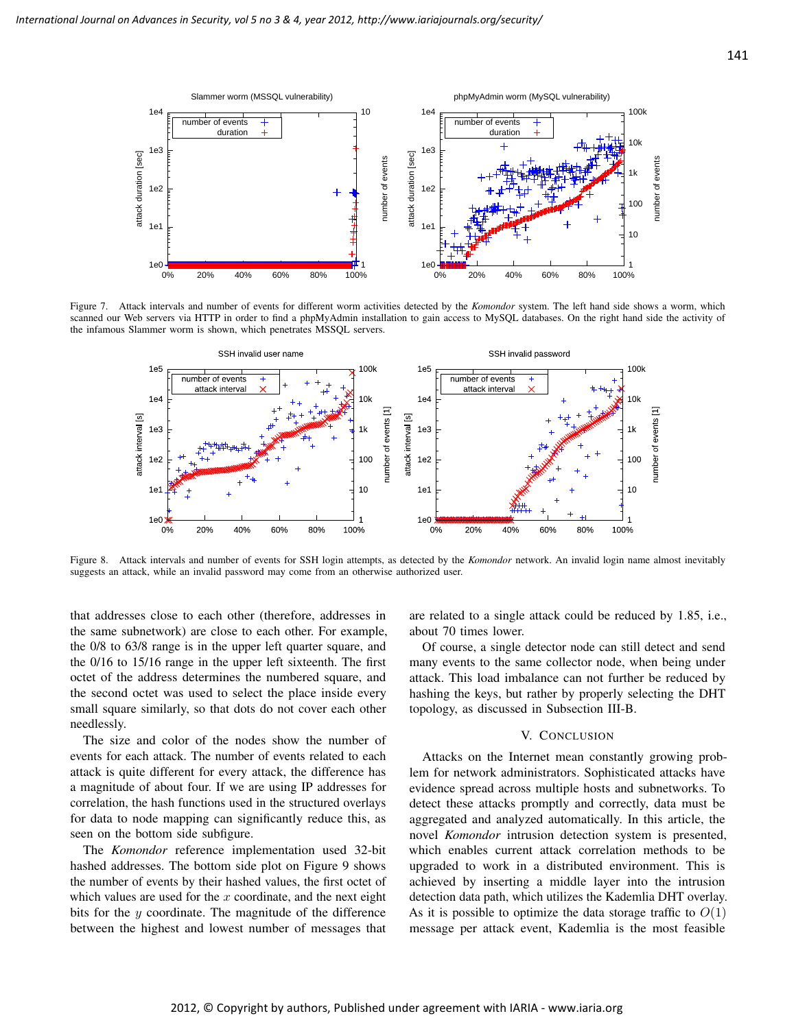

Figure 7. Attack intervals and number of events for different worm activities detected by the *Komondor* system. The left hand side shows a worm, which scanned our Web servers via HTTP in order to find a phpMyAdmin installation to gain access to MySQL databases. On the right hand side the activity of the infamous Slammer worm is shown, which penetrates MSSQL servers.



Figure 8. Attack intervals and number of events for SSH login attempts, as detected by the *Komondor* network. An invalid login name almost inevitably suggests an attack, while an invalid password may come from an otherwise authorized user.

that addresses close to each other (therefore, addresses in the same subnetwork) are close to each other. For example, the 0/8 to 63/8 range is in the upper left quarter square, and the 0/16 to 15/16 range in the upper left sixteenth. The first octet of the address determines the numbered square, and the second octet was used to select the place inside every small square similarly, so that dots do not cover each other needlessly.

The size and color of the nodes show the number of events for each attack. The number of events related to each attack is quite different for every attack, the difference has a magnitude of about four. If we are using IP addresses for correlation, the hash functions used in the structured overlays for data to node mapping can significantly reduce this, as seen on the bottom side subfigure.

The *Komondor* reference implementation used 32-bit hashed addresses. The bottom side plot on Figure 9 shows the number of events by their hashed values, the first octet of which values are used for the  $x$  coordinate, and the next eight bits for the y coordinate. The magnitude of the difference between the highest and lowest number of messages that are related to a single attack could be reduced by 1.85, i.e., about 70 times lower.

Of course, a single detector node can still detect and send many events to the same collector node, when being under attack. This load imbalance can not further be reduced by hashing the keys, but rather by properly selecting the DHT topology, as discussed in Subsection III-B.

#### V. CONCLUSION

Attacks on the Internet mean constantly growing problem for network administrators. Sophisticated attacks have evidence spread across multiple hosts and subnetworks. To detect these attacks promptly and correctly, data must be aggregated and analyzed automatically. In this article, the novel *Komondor* intrusion detection system is presented, which enables current attack correlation methods to be upgraded to work in a distributed environment. This is achieved by inserting a middle layer into the intrusion detection data path, which utilizes the Kademlia DHT overlay. As it is possible to optimize the data storage traffic to  $O(1)$ message per attack event, Kademlia is the most feasible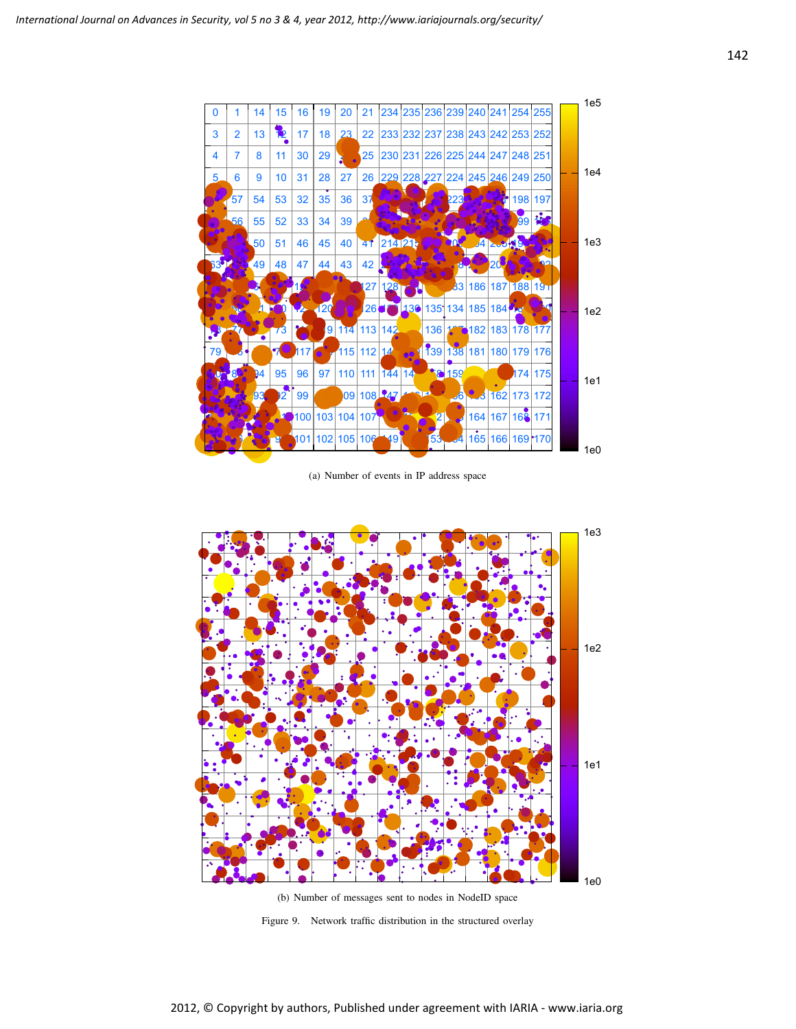

(a) Number of events in IP address space



Figure 9. Network traffic distribution in the structured overlay